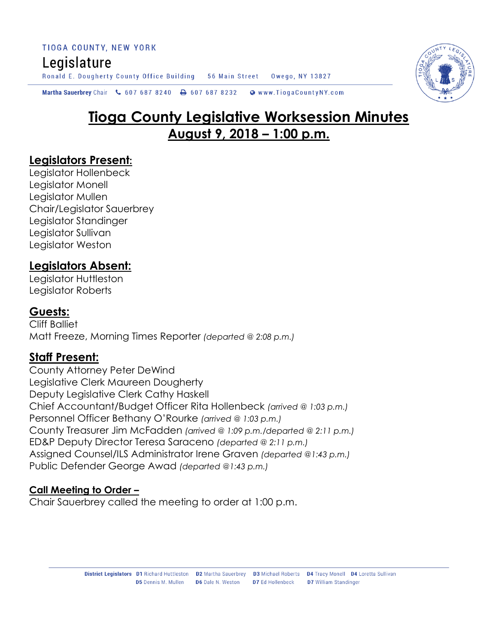TIOGA COUNTY, NEW YORK Legislature Ronald E. Dougherty County Office Building 56 Main Street Owego, NY 13827



# **Tioga County Legislative Worksession Minutes August 9, 2018 – 1:00 p.m.**

### **Legislators Present:**

Legislator Hollenbeck Legislator Monell Legislator Mullen Chair/Legislator Sauerbrey Legislator Standinger Legislator Sullivan Legislator Weston

# **Legislators Absent:**

Legislator Huttleston Legislator Roberts

### **Guests:**

Cliff Balliet Matt Freeze, Morning Times Reporter *(departed @ 2:08 p.m.)*

# **Staff Present:**

County Attorney Peter DeWind Legislative Clerk Maureen Dougherty Deputy Legislative Clerk Cathy Haskell Chief Accountant/Budget Officer Rita Hollenbeck *(arrived @ 1:03 p.m.)* Personnel Officer Bethany O'Rourke *(arrived @ 1:03 p.m.)* County Treasurer Jim McFadden *(arrived @ 1:09 p.m./departed @ 2:11 p.m.)* ED&P Deputy Director Teresa Saraceno *(departed @ 2:11 p.m.)* Assigned Counsel/ILS Administrator Irene Graven *(departed @1:43 p.m.)* Public Defender George Awad *(departed @1:43 p.m.)*

#### **Call Meeting to Order –**

Chair Sauerbrey called the meeting to order at 1:00 p.m.

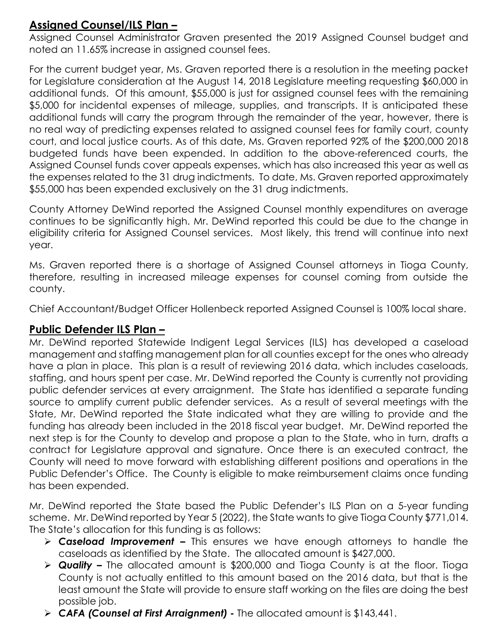# **Assigned Counsel/ILS Plan –**

Assigned Counsel Administrator Graven presented the 2019 Assigned Counsel budget and noted an 11.65% increase in assigned counsel fees.

For the current budget year, Ms. Graven reported there is a resolution in the meeting packet for Legislature consideration at the August 14, 2018 Legislature meeting requesting \$60,000 in additional funds. Of this amount, \$55,000 is just for assigned counsel fees with the remaining \$5,000 for incidental expenses of mileage, supplies, and transcripts. It is anticipated these additional funds will carry the program through the remainder of the year, however, there is no real way of predicting expenses related to assigned counsel fees for family court, county court, and local justice courts. As of this date, Ms. Graven reported 92% of the \$200,000 2018 budgeted funds have been expended. In addition to the above-referenced courts, the Assigned Counsel funds cover appeals expenses, which has also increased this year as well as the expenses related to the 31 drug indictments. To date, Ms. Graven reported approximately \$55,000 has been expended exclusively on the 31 drug indictments.

County Attorney DeWind reported the Assigned Counsel monthly expenditures on average continues to be significantly high. Mr. DeWind reported this could be due to the change in eligibility criteria for Assigned Counsel services. Most likely, this trend will continue into next year.

Ms. Graven reported there is a shortage of Assigned Counsel attorneys in Tioga County, therefore, resulting in increased mileage expenses for counsel coming from outside the county.

Chief Accountant/Budget Officer Hollenbeck reported Assigned Counsel is 100% local share.

# **Public Defender ILS Plan –**

Mr. DeWind reported Statewide Indigent Legal Services (ILS) has developed a caseload management and staffing management plan for all counties except for the ones who already have a plan in place. This plan is a result of reviewing 2016 data, which includes caseloads, staffing, and hours spent per case. Mr. DeWind reported the County is currently not providing public defender services at every arraignment. The State has identified a separate funding source to amplify current public defender services. As a result of several meetings with the State, Mr. DeWind reported the State indicated what they are willing to provide and the funding has already been included in the 2018 fiscal year budget. Mr. DeWind reported the next step is for the County to develop and propose a plan to the State, who in turn, drafts a contract for Legislature approval and signature. Once there is an executed contract, the County will need to move forward with establishing different positions and operations in the Public Defender's Office. The County is eligible to make reimbursement claims once funding has been expended.

Mr. DeWind reported the State based the Public Defender's ILS Plan on a 5-year funding scheme. Mr. DeWind reported by Year 5 (2022), the State wants to give Tioga County \$771,014. The State's allocation for this funding is as follows:

- *Caseload Improvement –* This ensures we have enough attorneys to handle the caseloads as identified by the State. The allocated amount is \$427,000.
- *Quality –* The allocated amount is \$200,000 and Tioga County is at the floor. Tioga County is not actually entitled to this amount based on the 2016 data, but that is the least amount the State will provide to ensure staff working on the files are doing the best possible job.
- *CAFA (Counsel at First Arraignment) -* The allocated amount is \$143,441.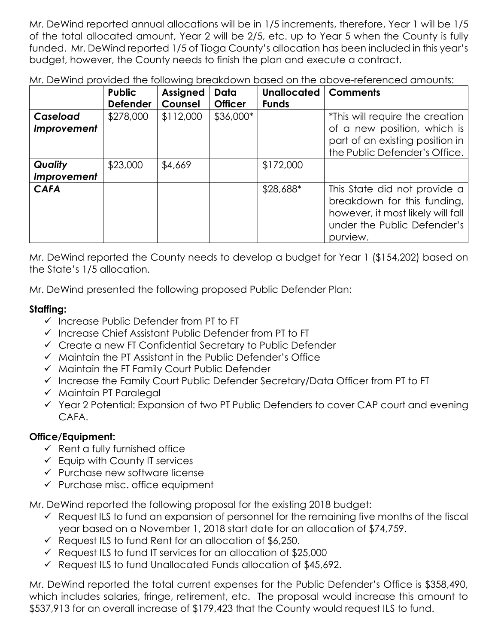Mr. DeWind reported annual allocations will be in 1/5 increments, therefore, Year 1 will be 1/5 of the total allocated amount, Year 2 will be 2/5, etc. up to Year 5 when the County is fully funded. Mr. DeWind reported 1/5 of Tioga County's allocation has been included in this year's budget, however, the County needs to finish the plan and execute a contract.

Mr. DeWind provided the following breakdown based on the above-referenced amounts:

|                               | <b>Public</b><br><b>Defender</b> | <b>Assigned</b><br>Counsel | Data<br><b>Officer</b> | <b>Unallocated</b><br><b>Funds</b> | <b>Comments</b>                                                                                                                             |
|-------------------------------|----------------------------------|----------------------------|------------------------|------------------------------------|---------------------------------------------------------------------------------------------------------------------------------------------|
| Caseload<br>Improvement       | \$278,000                        | \$112,000                  | \$36,000*              |                                    | *This will require the creation<br>of a new position, which is<br>part of an existing position in<br>the Public Defender's Office.          |
| <b>Quality</b><br>Improvement | \$23,000                         | \$4,669                    |                        | \$172,000                          |                                                                                                                                             |
| <b>CAFA</b>                   |                                  |                            |                        | \$28,688*                          | This State did not provide a<br>breakdown for this funding,<br>however, it most likely will fall<br>under the Public Defender's<br>purview. |

Mr. DeWind reported the County needs to develop a budget for Year 1 (\$154,202) based on the State's 1/5 allocation.

Mr. DeWind presented the following proposed Public Defender Plan:

### **Staffing:**

- $\checkmark$  Increase Public Defender from PT to FT
- $\checkmark$  Increase Chief Assistant Public Defender from PT to FT
- Create a new FT Confidential Secretary to Public Defender
- $\checkmark$  Maintain the PT Assistant in the Public Defender's Office
- $\checkmark$  Maintain the FT Family Court Public Defender
- $\checkmark$  Increase the Family Court Public Defender Secretary/Data Officer from PT to FT
- $\checkmark$  Maintain PT Paralegal
- $\checkmark$  Year 2 Potential: Expansion of two PT Public Defenders to cover CAP court and evening CAFA.

# **Office/Equipment:**

- $\checkmark$  Rent a fully furnished office
- $\checkmark$  Equip with County IT services
- $\checkmark$  Purchase new software license
- $\checkmark$  Purchase misc. office equipment

Mr. DeWind reported the following proposal for the existing 2018 budget:

- $\checkmark$  Request ILS to fund an expansion of personnel for the remaining five months of the fiscal year based on a November 1, 2018 start date for an allocation of \$74,759.
- $\checkmark$  Request ILS to fund Rent for an allocation of \$6,250.
- $\checkmark$  Request ILS to fund IT services for an allocation of \$25,000
- $\checkmark$  Request ILS to fund Unallocated Funds allocation of \$45,692.

Mr. DeWind reported the total current expenses for the Public Defender's Office is \$358,490, which includes salaries, fringe, retirement, etc. The proposal would increase this amount to \$537,913 for an overall increase of \$179,423 that the County would request ILS to fund.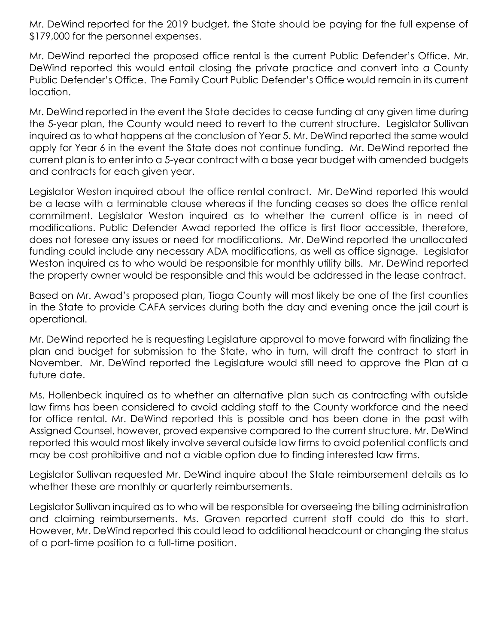Mr. DeWind reported for the 2019 budget, the State should be paying for the full expense of \$179,000 for the personnel expenses.

Mr. DeWind reported the proposed office rental is the current Public Defender's Office. Mr. DeWind reported this would entail closing the private practice and convert into a County Public Defender's Office. The Family Court Public Defender's Office would remain in its current location.

Mr. DeWind reported in the event the State decides to cease funding at any given time during the 5-year plan, the County would need to revert to the current structure. Legislator Sullivan inquired as to what happens at the conclusion of Year 5. Mr. DeWind reported the same would apply for Year 6 in the event the State does not continue funding. Mr. DeWind reported the current plan is to enter into a 5-year contract with a base year budget with amended budgets and contracts for each given year.

Legislator Weston inquired about the office rental contract. Mr. DeWind reported this would be a lease with a terminable clause whereas if the funding ceases so does the office rental commitment. Legislator Weston inquired as to whether the current office is in need of modifications. Public Defender Awad reported the office is first floor accessible, therefore, does not foresee any issues or need for modifications. Mr. DeWind reported the unallocated funding could include any necessary ADA modifications, as well as office signage. Legislator Weston inquired as to who would be responsible for monthly utility bills. Mr. DeWind reported the property owner would be responsible and this would be addressed in the lease contract.

Based on Mr. Awad's proposed plan, Tioga County will most likely be one of the first counties in the State to provide CAFA services during both the day and evening once the jail court is operational.

Mr. DeWind reported he is requesting Legislature approval to move forward with finalizing the plan and budget for submission to the State, who in turn, will draft the contract to start in November. Mr. DeWind reported the Legislature would still need to approve the Plan at a future date.

Ms. Hollenbeck inquired as to whether an alternative plan such as contracting with outside law firms has been considered to avoid adding staff to the County workforce and the need for office rental. Mr. DeWind reported this is possible and has been done in the past with Assigned Counsel, however, proved expensive compared to the current structure. Mr. DeWind reported this would most likely involve several outside law firms to avoid potential conflicts and may be cost prohibitive and not a viable option due to finding interested law firms.

Legislator Sullivan requested Mr. DeWind inquire about the State reimbursement details as to whether these are monthly or quarterly reimbursements.

Legislator Sullivan inquired as to who will be responsible for overseeing the billing administration and claiming reimbursements. Ms. Graven reported current staff could do this to start. However, Mr. DeWind reported this could lead to additional headcount or changing the status of a part-time position to a full-time position.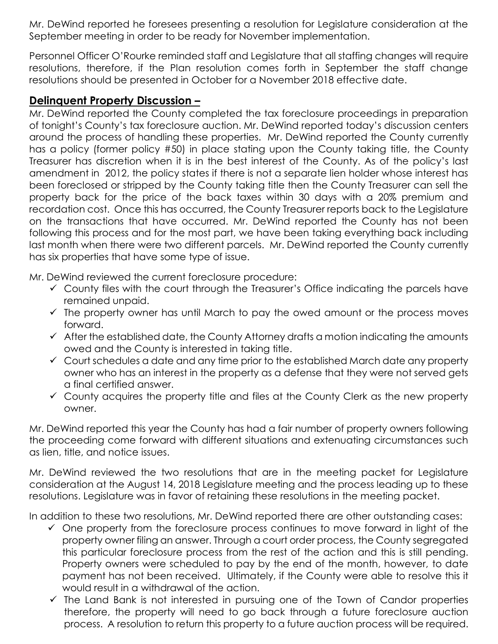Mr. DeWind reported he foresees presenting a resolution for Legislature consideration at the September meeting in order to be ready for November implementation.

Personnel Officer O'Rourke reminded staff and Legislature that all staffing changes will require resolutions, therefore, if the Plan resolution comes forth in September the staff change resolutions should be presented in October for a November 2018 effective date.

#### **Delinquent Property Discussion –**

Mr. DeWind reported the County completed the tax foreclosure proceedings in preparation of tonight's County's tax foreclosure auction. Mr. DeWind reported today's discussion centers around the process of handling these properties. Mr. DeWind reported the County currently has a policy (former policy #50) in place stating upon the County taking title, the County Treasurer has discretion when it is in the best interest of the County. As of the policy's last amendment in 2012, the policy states if there is not a separate lien holder whose interest has been foreclosed or stripped by the County taking title then the County Treasurer can sell the property back for the price of the back taxes within 30 days with a 20% premium and recordation cost. Once this has occurred, the County Treasurer reports back to the Legislature on the transactions that have occurred. Mr. DeWind reported the County has not been following this process and for the most part, we have been taking everything back including last month when there were two different parcels. Mr. DeWind reported the County currently has six properties that have some type of issue.

Mr. DeWind reviewed the current foreclosure procedure:

- $\checkmark$  County files with the court through the Treasurer's Office indicating the parcels have remained unpaid.
- $\checkmark$  The property owner has until March to pay the owed amount or the process moves forward.
- $\checkmark$  After the established date, the County Attorney drafts a motion indicating the amounts owed and the County is interested in taking title.
- $\checkmark$  Court schedules a date and any time prior to the established March date any property owner who has an interest in the property as a defense that they were not served gets a final certified answer.
- $\checkmark$  County acquires the property title and files at the County Clerk as the new property owner.

Mr. DeWind reported this year the County has had a fair number of property owners following the proceeding come forward with different situations and extenuating circumstances such as lien, title, and notice issues.

Mr. DeWind reviewed the two resolutions that are in the meeting packet for Legislature consideration at the August 14, 2018 Legislature meeting and the process leading up to these resolutions. Legislature was in favor of retaining these resolutions in the meeting packet.

In addition to these two resolutions, Mr. DeWind reported there are other outstanding cases:

- $\checkmark$  One property from the foreclosure process continues to move forward in light of the property owner filing an answer. Through a court order process, the County segregated this particular foreclosure process from the rest of the action and this is still pending. Property owners were scheduled to pay by the end of the month, however, to date payment has not been received. Ultimately, if the County were able to resolve this it would result in a withdrawal of the action.
- $\checkmark$  The Land Bank is not interested in pursuing one of the Town of Candor properties therefore, the property will need to go back through a future foreclosure auction process. A resolution to return this property to a future auction process will be required.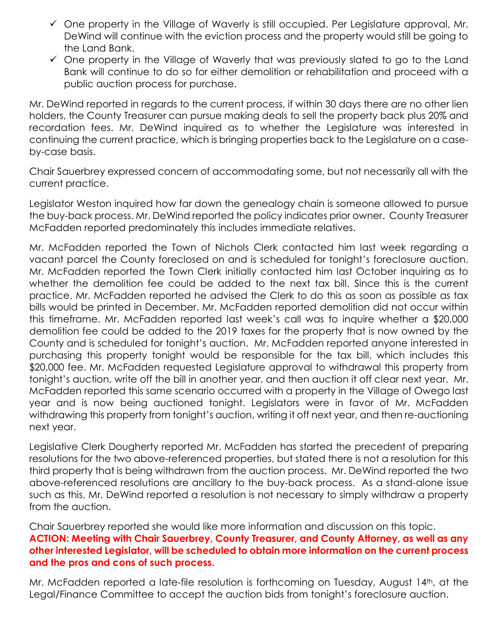- $\checkmark$  One property in the Village of Waverly is still occupied. Per Legislature approval, Mr. DeWind will continue with the eviction process and the property would still be going to the Land Bank.
- $\checkmark$  One property in the Village of Waverly that was previously slated to go to the Land Bank will continue to do so for either demolition or rehabilitation and proceed with a public auction process for purchase.

Mr. DeWind reported in regards to the current process, if within 30 days there are no other lien holders, the County Treasurer can pursue making deals to sell the property back plus 20% and recordation fees. Mr. DeWind inquired as to whether the Legislature was interested in continuing the current practice, which is bringing properties back to the Legislature on a caseby-case basis.

Chair Sauerbrey expressed concern of accommodating some, but not necessarily all with the current practice.

Legislator Weston inquired how far down the genealogy chain is someone allowed to pursue the buy-back process. Mr. DeWind reported the policy indicates prior owner. County Treasurer McFadden reported predominately this includes immediate relatives.

Mr. McFadden reported the Town of Nichols Clerk contacted him last week regarding a vacant parcel the County foreclosed on and is scheduled for tonight's foreclosure auction. Mr. McFadden reported the Town Clerk initially contacted him last October inquiring as to whether the demolition fee could be added to the next tax bill. Since this is the current practice, Mr. McFadden reported he advised the Clerk to do this as soon as possible as tax bills would be printed in December. Mr. McFadden reported demolition did not occur within this timeframe. Mr. McFadden reported last week's call was to inquire whether a \$20,000 demolition fee could be added to the 2019 taxes for the property that is now owned by the County and is scheduled for tonight's auction. Mr. McFadden reported anyone interested in purchasing this property tonight would be responsible for the tax bill, which includes this \$20,000 fee. Mr. McFadden requested Legislature approval to withdrawal this property from tonight's auction, write off the bill in another year, and then auction it off clear next year. Mr. McFadden reported this same scenario occurred with a property in the Village of Owego last year and is now being auctioned tonight. Legislators were in favor of Mr. McFadden withdrawing this property from tonight's auction, writing it off next year, and then re-auctioning next year.

Legislative Clerk Dougherty reported Mr. McFadden has started the precedent of preparing resolutions for the two above-referenced properties, but stated there is not a resolution for this third property that is being withdrawn from the auction process. Mr. DeWind reported the two above-referenced resolutions are ancillary to the buy-back process. As a stand-alone issue such as this, Mr. DeWind reported a resolution is not necessary to simply withdraw a property from the auction.

Chair Sauerbrey reported she would like more information and discussion on this topic. **ACTION: Meeting with Chair Sauerbrey, County Treasurer, and County Attorney, as well as any other interested Legislator, will be scheduled to obtain more information on the current process and the pros and cons of such process.** 

Mr. McFadden reported a late-file resolution is forthcoming on Tuesday, August 14th, at the Legal/Finance Committee to accept the auction bids from tonight's foreclosure auction.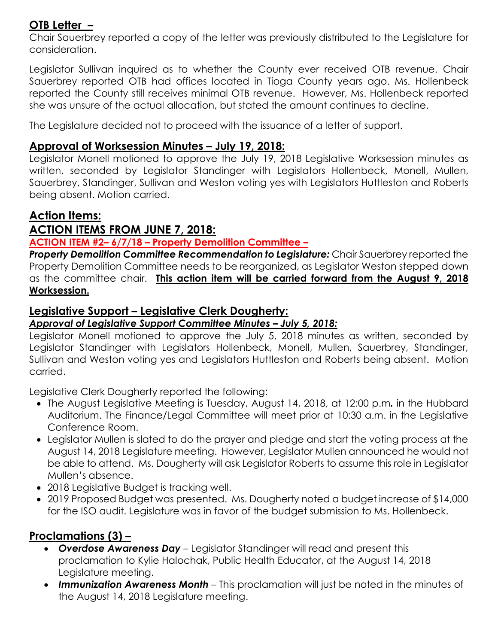# **OTB Letter –**

Chair Sauerbrey reported a copy of the letter was previously distributed to the Legislature for consideration.

Legislator Sullivan inquired as to whether the County ever received OTB revenue. Chair Sauerbrey reported OTB had offices located in Tioga County years ago. Ms. Hollenbeck reported the County still receives minimal OTB revenue. However, Ms. Hollenbeck reported she was unsure of the actual allocation, but stated the amount continues to decline.

The Legislature decided not to proceed with the issuance of a letter of support.

# **Approval of Worksession Minutes – July 19, 2018:**

Legislator Monell motioned to approve the July 19, 2018 Legislative Worksession minutes as written, seconded by Legislator Standinger with Legislators Hollenbeck, Monell, Mullen, Sauerbrey, Standinger, Sullivan and Weston voting yes with Legislators Huttleston and Roberts being absent. Motion carried.

# **Action Items:**

# **ACTION ITEMS FROM JUNE 7, 2018:**

### **ACTION ITEM #2– 6/7/18 – Property Demolition Committee –**

*Property Demolition Committee Recommendation to Legislature:* Chair Sauerbrey reported the Property Demolition Committee needs to be reorganized, as Legislator Weston stepped down as the committee chair. **This action item will be carried forward from the August 9, 2018 Worksession.** 

# **Legislative Support – Legislative Clerk Dougherty:**

## *Approval of Legislative Support Committee Minutes – July 5, 2018:*

Legislator Monell motioned to approve the July 5, 2018 minutes as written, seconded by Legislator Standinger with Legislators Hollenbeck, Monell, Mullen, Sauerbrey, Standinger, Sullivan and Weston voting yes and Legislators Huttleston and Roberts being absent. Motion carried.

Legislative Clerk Dougherty reported the following:

- The August Legislative Meeting is Tuesday, August 14, 2018, at 12:00 p.m*.* in the Hubbard Auditorium. The Finance/Legal Committee will meet prior at 10:30 a.m. in the Legislative Conference Room.
- Legislator Mullen is slated to do the prayer and pledge and start the voting process at the August 14, 2018 Legislature meeting. However, Legislator Mullen announced he would not be able to attend. Ms. Dougherty will ask Legislator Roberts to assume this role in Legislator Mullen's absence.
- 2018 Legislative Budget is tracking well.
- 2019 Proposed Budget was presented. Ms. Dougherty noted a budget increase of \$14,000 for the ISO audit. Legislature was in favor of the budget submission to Ms. Hollenbeck.

# **Proclamations (3) –**

- *Overdose Awareness Day* Legislator Standinger will read and present this proclamation to Kylie Halochak, Public Health Educator, at the August 14, 2018 Legislature meeting.
- *Immunization Awareness Month* This proclamation will just be noted in the minutes of the August 14, 2018 Legislature meeting.